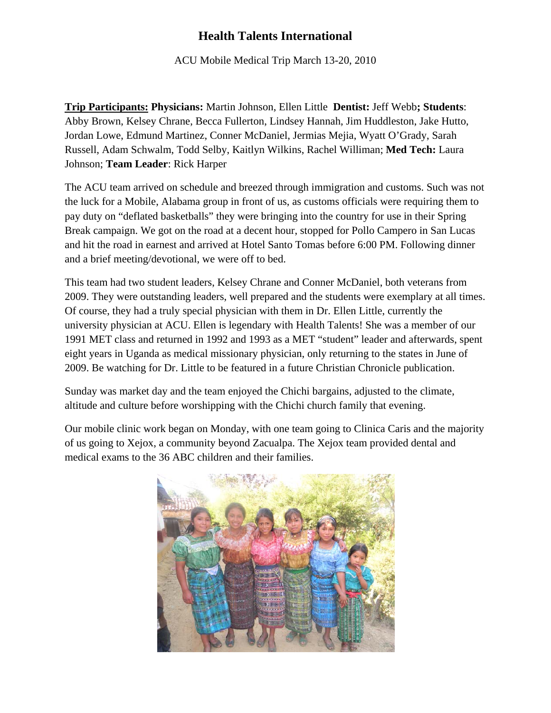## **Health Talents International**

ACU Mobile Medical Trip March 13-20, 2010

**Trip Participants: Physicians:** Martin Johnson, Ellen Little **Dentist:** Jeff Webb**; Students**: Abby Brown, Kelsey Chrane, Becca Fullerton, Lindsey Hannah, Jim Huddleston, Jake Hutto, Jordan Lowe, Edmund Martinez, Conner McDaniel, Jermias Mejia, Wyatt O'Grady, Sarah Russell, Adam Schwalm, Todd Selby, Kaitlyn Wilkins, Rachel Williman; **Med Tech:** Laura Johnson; **Team Leader**: Rick Harper

The ACU team arrived on schedule and breezed through immigration and customs. Such was not the luck for a Mobile, Alabama group in front of us, as customs officials were requiring them to pay duty on "deflated basketballs" they were bringing into the country for use in their Spring Break campaign. We got on the road at a decent hour, stopped for Pollo Campero in San Lucas and hit the road in earnest and arrived at Hotel Santo Tomas before 6:00 PM. Following dinner and a brief meeting/devotional, we were off to bed.

This team had two student leaders, Kelsey Chrane and Conner McDaniel, both veterans from 2009. They were outstanding leaders, well prepared and the students were exemplary at all times. Of course, they had a truly special physician with them in Dr. Ellen Little, currently the university physician at ACU. Ellen is legendary with Health Talents! She was a member of our 1991 MET class and returned in 1992 and 1993 as a MET "student" leader and afterwards, spent eight years in Uganda as medical missionary physician, only returning to the states in June of 2009. Be watching for Dr. Little to be featured in a future Christian Chronicle publication.

Sunday was market day and the team enjoyed the Chichi bargains, adjusted to the climate, altitude and culture before worshipping with the Chichi church family that evening.

Our mobile clinic work began on Monday, with one team going to Clinica Caris and the majority of us going to Xejox, a community beyond Zacualpa. The Xejox team provided dental and medical exams to the 36 ABC children and their families.

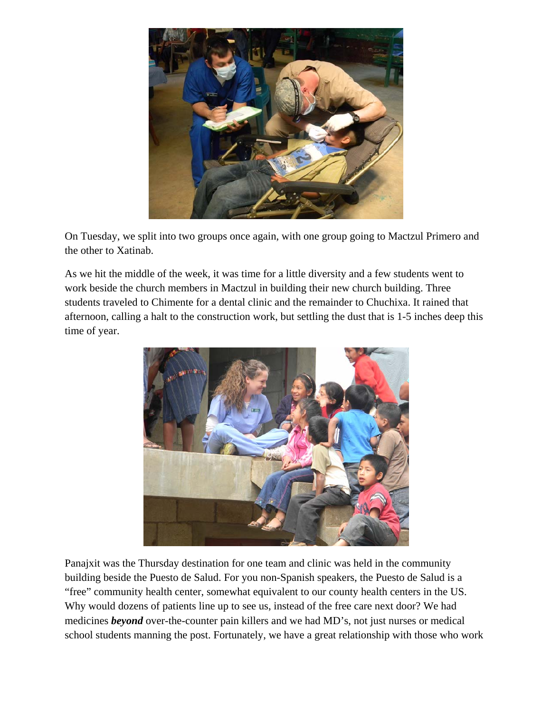

On Tuesday, we split into two groups once again, with one group going to Mactzul Primero and the other to Xatinab.

As we hit the middle of the week, it was time for a little diversity and a few students went to work beside the church members in Mactzul in building their new church building. Three students traveled to Chimente for a dental clinic and the remainder to Chuchixa. It rained that afternoon, calling a halt to the construction work, but settling the dust that is 1-5 inches deep this time of year.



Panajxit was the Thursday destination for one team and clinic was held in the community building beside the Puesto de Salud. For you non-Spanish speakers, the Puesto de Salud is a "free" community health center, somewhat equivalent to our county health centers in the US. Why would dozens of patients line up to see us, instead of the free care next door? We had medicines *beyond* over-the-counter pain killers and we had MD's, not just nurses or medical school students manning the post. Fortunately, we have a great relationship with those who work